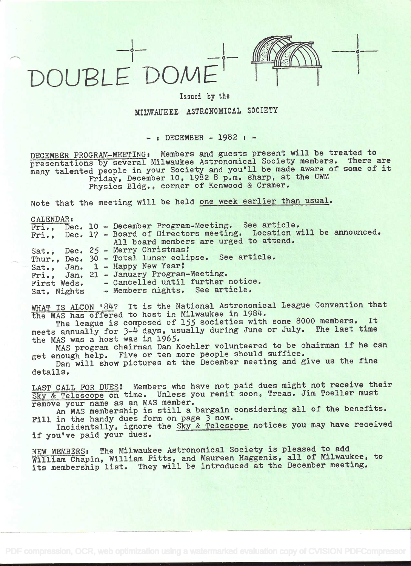# OUBLE DON



1

# Issued by the

# MILWAUKEE ASTRONOMICAL SOCIETY

 $-$ : DECEMBER  $-$  1982 :  $-$ 

DECEMBER PROGRAM-MEETING: Members and guests present will be treated to presentations by several Milwaukee Astronomical Society members. There are many talented people in your Society and you'll be made aware of some of it Friday, December 10, 1982 8 p.m. sharp, at the UWM Physics Bldg., corner of Kenwood & Cramer.

Note that the meeting will be held one week earlier than usual.

CALENDAR:

|             |  | Fri., Dec. 10 - December Program-Meeting. See article.                  |
|-------------|--|-------------------------------------------------------------------------|
|             |  | Fri., Dec. 17 - Board of Directors meeting. Location will be announced. |
|             |  | All board members are urged to attend.                                  |
|             |  | Sat., Dec. 25 - Merry Christmas!                                        |
|             |  | Thur., Dec. 30 - Total lunar eclipse. See article.                      |
|             |  | Sat., Jan. 1 - Happy New Year!                                          |
|             |  | Fri., Jan. 21 - January Program-Meeting.                                |
| First Weds. |  | - Cancelled until further notice.                                       |
| Sat. Nights |  | - Members nights. See article.                                          |
|             |  |                                                                         |

WHAT IS ALCON '84? It is the National Astronomical League Convention that the MAS has offered to host in Milwaukee in 198k.

The league is composed of 155 societies with some 8000 members. It meets annually for 3-4 days, usually during June or July. The last time the MAS was a host was in 1965.

MAS program chairman Dan Koehier volunteered to be chairman if he can get enough help. Five or ten more people should suffice.

Dan will show pictures at the December meeting and give us the fine Dan will snow protects

LAST CALL FOR DUES! Members who have not paid dues might not receive their Sky & Telescope on time. Unless you remit soon, Treas. Jim Toeller must remove your name as an MAS member.

An MAS membership is still a bargain considering all of the benefits. Fill in the handy dues form on page 3 now.

Incidentally, ignore the Sky & Telescope notices you may have received if you've paid your dues.

NEW MEMBERS: The Milwaukee Astronomical Society is pleased to add William Chapin, William Fitts, and Maureen Haggenis, all of Milwaukee, to its membership list. They will be introduced at the December meeting.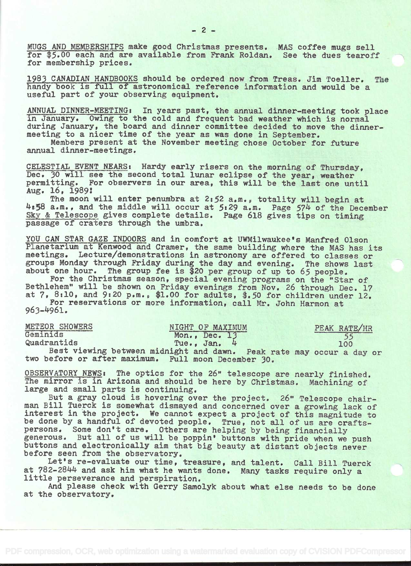MUGS AND MEMBERSHIPS make good Christmas presents. MAS coffee mugs sell for \$5.00 each and are available from Frank Roldan. See the dues tearoff for membership prices.

1983 CANADIAN HANDBOOKS should be ordered now from Treas. Jim Toeller. The handy book is full of astronomical reference information and would be a useful part of your observing equipment.

ANNUAL DINNER-MEETING: In years past, the annual dinner-meeting took place in January. Owing to the cold and frequent bad weather which is normal during January, the board and dinner committee decided to move the dinnermeeting to a nicer time of the year as was done in September.

Members present at the November meeting chose October for future annual dinner-meetings.

CELESTIAL EVENT NEARS: Hardy early risers on the morning of Thursday, Dec. 30 will see the second total lunar eclipse of the year, weather permitting. For observers in our area, this will be the last one until Aug. 16, 1989

The moon will enter penumbra at 2:52 a.m., totality will begin at  $4:58$  a.m., and the middle will occur at 5:29 a.m. Page 574 of the December Sky & Telescope gives complete details. Page 618 gives tips on timing passage of craters through the umbra.

YOU CAN STAR GAZE INDOORS and in comfort at UWMilwaukee's Manfred Olson Planetarium at Kenwood and Cramer, the same building where the MAS has its meetings. Lecture/demonstrations in astronomy are offered to classes or groups Monday through Friday during the day and evening. The shows last about one hour. The group fee is \$20 per group of up to 65 people.

For the Christmas season, special evening programs on the "Star of Bethlehem" will be shown on Friday evenings from Nov. 26 through Dec. 17 at 7, 6:10, and 9:20 p.m., \$1.00 for adults, 4.5O for children under 12. For reservations or more information, call Mr. John Harmon at  $963 - 4961.$ 

| METEOR SHOWERS | NIGHT OF MAXIMUM                                                     | PEAK RATE/HR |
|----------------|----------------------------------------------------------------------|--------------|
| Geminids       | Mon., Dec. 13                                                        |              |
| Quadrantids    | Tue., Jan. 4                                                         | 100          |
|                | Best viewing between midnight and dawn. Peak rate may occur a day or |              |
|                | two before or after maximum. Full moon December 30.                  |              |

OBSERVATORY NEWS: The optics for the 26' telescope are nearly finished. The mirror is in Arizona and should be here by Christmas. Machining of large and small parts is continuing.

But a gray cloud is hovering over the project. 26" Telescope chairman Bill Tuerck is somewhat dismayed and concerned over a growing lack of interest in the project. We cannot expect a project of this magnitude to be done by a handful of devoted people. True, not all of us are craftspersons. Some don't care. Others are helping by being financially generous. But all of us will be poppin' buttons with pride when we push buttons and electronically aim that big beauty at distant objects never before seen from the observatory.

Let's re-evaluate our time, treasure, and talent. Call Bill Tuerck at 782-2844 and ask him what he wants done. Many tasks require only a little perseverance and perspiration.

And please check with Gerry Samolyk about what else needs to be done at the observatory.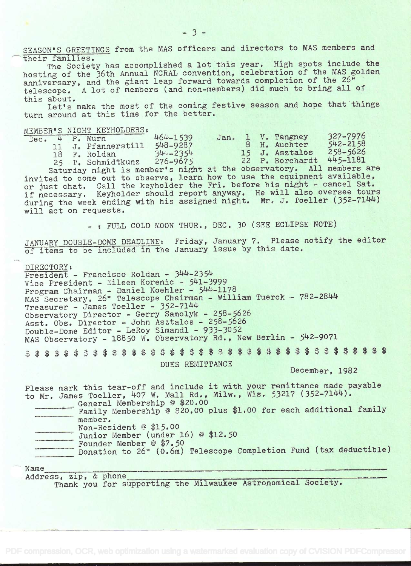SEASON'S GREETINGS from the MAS officers and directors to MAS members and their families.

The Society has accomplished a lot this year. High spots include the hosting of the 36th Annual NCRAL convention, celebration of the MAS golden anniversary, and the giant leap forward towards completion of the 26" telescope. A lot of members (and non-members) did much to bring all of this about.

Let's make the most of the coming festive season and hope that things turn around at this time for the better.

|  | MEMBER'S NIGHT KEYHOLDERS:  |                                                                                                                                                                                                                                                                                                                                           |  |                          |              |  |
|--|-----------------------------|-------------------------------------------------------------------------------------------------------------------------------------------------------------------------------------------------------------------------------------------------------------------------------------------------------------------------------------------|--|--------------------------|--------------|--|
|  | Dec. 4 P. Murn              | 464-1539                                                                                                                                                                                                                                                                                                                                  |  | Jan. 1 V. Tangney        | 327-7976     |  |
|  | 11 J. Pfannerstill 548-9287 |                                                                                                                                                                                                                                                                                                                                           |  | 8 H. Auchter             | $542 - 2158$ |  |
|  | 18 F. Roldan                | $344 - 2354$                                                                                                                                                                                                                                                                                                                              |  | 15 J. Asztalos           | 258-5626     |  |
|  | 25 T. Schmidtkunz           | 276-9675                                                                                                                                                                                                                                                                                                                                  |  | 22 P. Borchardt 445-1181 |              |  |
|  |                             | $\mathbf{1}$ , $\mathbf{1}$ , $\mathbf{1}$ , $\mathbf{1}$ , $\mathbf{1}$ , $\mathbf{1}$ , $\mathbf{1}$ , $\mathbf{1}$ , $\mathbf{1}$ , $\mathbf{1}$ , $\mathbf{1}$ , $\mathbf{1}$ , $\mathbf{1}$ , $\mathbf{1}$ , $\mathbf{1}$ , $\mathbf{1}$ , $\mathbf{1}$ , $\mathbf{1}$ , $\mathbf{1}$ , $\mathbf{1}$ , $\mathbf{1}$ , $\mathbf{1}$ , |  |                          |              |  |

Saturday night is member's night at the observatory. All members are invited to come out to observe, learn how to use the equipment available, or just chat. Call the keyholder the Fri. before his night - cancel Sat. if necessary. Keyholder should report anyway. He will also oversee tours during the week ending with his assigned night. Mr. J. Toeller (352-7144) will act on requests.

- : FULL COLD MOON THUR., DEC. 30 (SEE ECLIPSE NOTE)

JANUARY DOUBLE-DOME DEADLINE: Friday, January 7. Please notify the editor of items to be included in the January issue by this date.

DIRECTORY:<br>President - Francisco Roldan - 344-2354 Vice President - Eileen Korenic - 541-3999 Program Chairman - Daniel Koehler - 544-1178 MAS Secretary, 26" Telescope Chairman - William Tuerck - 782-2844 Treasurer - James Toeller - 352-7144 Observatory Director - Gerry Samolyk - 258-5626 Asst, Obs, Director - John Asztalos - 258-5626 Double-Dome Editor - LeRoy Simandi - 933-3052 MAS Observatory - 18850 W. Observatory Rd., New Berlin - 542-9071 

DUES REMITTANCE

December, 1982

Please mark this tear-off and include it with your remittance made payable to Mr. James Toeller, 407 W. Mall Rd., Milw., Wis. 53217 (352-7144).

|  | $\cup$ in the construction of the component of $\mathcal{F}$       |
|--|--------------------------------------------------------------------|
|  | General Membership @ \$20.00                                       |
|  | Family Membership @ \$20.00 plus \$1.00 for each additional family |
|  | member.                                                            |
|  | Non-Resident @ \$15.00                                             |
|  | Junior Member (under 16) @ \$12.50                                 |
|  | Founder Member @ \$7.50                                            |
|  | Donation to 26" (0.6m) Telescope Completion Fund (tax deductible)  |
|  |                                                                    |

Name<br>Address, zip, & phone Address, zip, & phone\_\_\_\_\_\_\_\_\_\_\_\_\_\_\_\_\_\_\_\_\_\_\_\_\_\_\_\_\_\_\_\_\_\_\_\_\_\_\_\_\_\_\_\_\_\_\_\_\_\_\_\_

Thank you for supporting the Milwaukee Astronomical Society.